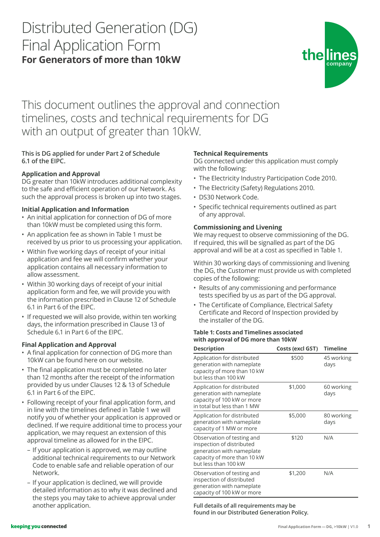# Distributed Generation (DG) Final Application Form **For Generators of more than 10kW**



This document outlines the approval and connection timelines, costs and technical requirements for DG with an output of greater than 10kW.

# **This is DG applied for under Part 2 of Schedule 6.1 of the EIPC.**

# **Application and Approval**

DG greater than 10kW introduces additional complexity to the safe and efficient operation of our Network. As such the approval process is broken up into two stages.

### **Initial Application and Information**

- An initial application for connection of DG of more than 10kW must be completed using this form.
- An application fee as shown in Table 1 must be received by us prior to us processing your application.
- Within five working days of receipt of your initial application and fee we will confirm whether your application contains all necessary information to allow assessment.
- Within 30 working days of receipt of your initial application form and fee, we will provide you with the information prescribed in Clause 12 of Schedule 6.1 in Part 6 of the EIPC.
- If requested we will also provide, within ten working days, the information prescribed in Clause 13 of Schedule 6.1 in Part 6 of the EIPC.

## **Final Application and Approval**

- A final application for connection of DG more than 10kW can be found here on our website.
- The final application must be completed no later than 12 months after the receipt of the information provided by us under Clauses 12 & 13 of Schedule 6.1 in Part 6 of the EIPC.
- Following receipt of your final application form, and in line with the timelines defined in Table 1 we will notify you of whether your application is approved or declined. If we require additional time to process your application, we may request an extension of this approval timeline as allowed for in the EIPC.
	- If your application is approved, we may outline additional technical requirements to our Network Code to enable safe and reliable operation of our Network.
	- If your application is declined, we will provide detailed information as to why it was declined and the steps you may take to achieve approval under another application.

## **Technical Requirements**

DG connected under this application must comply with the following:

- The Electricity Industry Participation Code 2010.
- The Electricity (Safety) Regulations 2010.
- DS30 Network Code.
- Specific technical requirements outlined as part of any approval.

### **Commissioning and Livening**

We may request to observe commissioning of the DG. If required, this will be signalled as part of the DG approval and will be at a cost as specified in Table 1.

Within 30 working days of commissioning and livening the DG, the Customer must provide us with completed copies of the following:

- Results of any commissioning and performance tests specified by us as part of the DG approval.
- The Certificate of Compliance, Electrical Safety Certificate and Record of Inspection provided by the installer of the DG.

#### **Table 1: Costs and Timelines associated with approval of DG more than 10kW**

| <b>Description</b>                                                                                                                          | Costs (excl GST) | <b>Timeline</b>    |
|---------------------------------------------------------------------------------------------------------------------------------------------|------------------|--------------------|
| Application for distributed<br>generation with nameplate<br>capacity of more than 10 kW<br>but less than 100 kW                             | \$500            | 45 working<br>days |
| Application for distributed<br>generation with nameplate<br>capacity of 100 kW or more<br>in total but less than 1 MW                       | \$1,000          | 60 working<br>days |
| Application for distributed<br>generation with nameplate<br>capacity of 1 MW or more                                                        | \$5,000          | 80 working<br>days |
| Observation of testing and<br>inspection of distributed<br>generation with nameplate<br>capacity of more than 10 kW<br>but less than 100 kW | \$120            | N/A                |
| Observation of testing and<br>inspection of distributed<br>generation with nameplate<br>capacity of 100 kW or more                          | \$1,200          | N/A                |

**Full details of all requirements may be found in our Distributed Generation Policy.**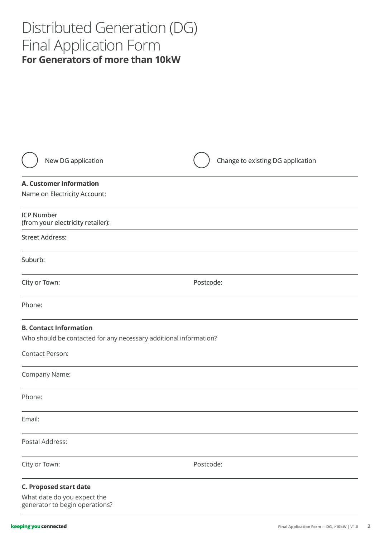# Distributed Generation (DG) Final Application Form **For Generators of more than 10kW**

| New DG application                                                                                 | Change to existing DG application |
|----------------------------------------------------------------------------------------------------|-----------------------------------|
| <b>A. Customer Information</b>                                                                     |                                   |
| Name on Electricity Account:                                                                       |                                   |
| <b>ICP Number</b><br>(from your electricity retailer):                                             |                                   |
| <b>Street Address:</b>                                                                             |                                   |
| Suburb:                                                                                            |                                   |
| City or Town:                                                                                      | Postcode:                         |
| Phone:                                                                                             |                                   |
| <b>B. Contact Information</b><br>Who should be contacted for any necessary additional information? |                                   |
| Contact Person:                                                                                    |                                   |
| Company Name:                                                                                      |                                   |
| Phone:                                                                                             |                                   |
| Email:                                                                                             |                                   |
| Postal Address:                                                                                    |                                   |
| City or Town:                                                                                      | Postcode:                         |
| <b>C. Proposed start date</b><br>What date do you expect the<br>generator to begin operations?     |                                   |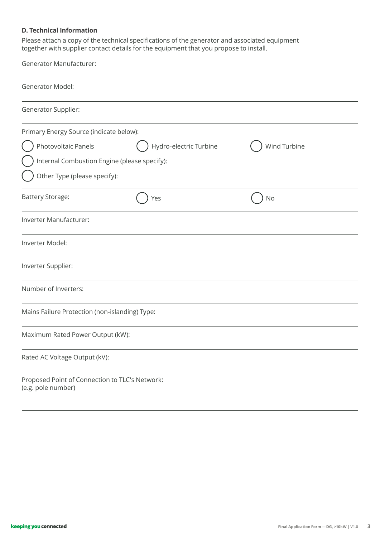#### **D. Technical Information**

Please attach a copy of the technical specifications of the generator and associated equipment together with supplier contact details for the equipment that you propose to install.

| <b>Generator Manufacturer:</b>                                       |                        |              |
|----------------------------------------------------------------------|------------------------|--------------|
| Generator Model:                                                     |                        |              |
| Generator Supplier:                                                  |                        |              |
| Primary Energy Source (indicate below):                              |                        |              |
| Photovoltaic Panels                                                  | Hydro-electric Turbine | Wind Turbine |
| Internal Combustion Engine (please specify):                         |                        |              |
| Other Type (please specify):                                         |                        |              |
| <b>Battery Storage:</b>                                              | Yes                    | No           |
| Inverter Manufacturer:                                               |                        |              |
| Inverter Model:                                                      |                        |              |
| Inverter Supplier:                                                   |                        |              |
| Number of Inverters:                                                 |                        |              |
| Mains Failure Protection (non-islanding) Type:                       |                        |              |
| Maximum Rated Power Output (kW):                                     |                        |              |
| Rated AC Voltage Output (kV):                                        |                        |              |
| Proposed Point of Connection to TLC's Network:<br>(e.g. pole number) |                        |              |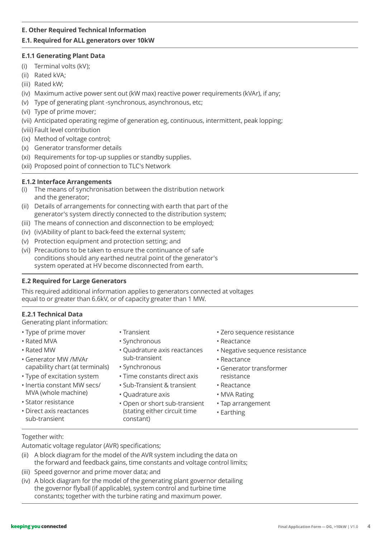## **E. Other Required Technical Information**

# **E.1. Required for ALL generators over 10kW**

### **E.1.1 Generating Plant Data**

- (i) Terminal volts (kV);
- (ii) Rated kVA;
- (iii) Rated kW;
- (iv) Maximum active power sent out (kW max) reactive power requirements (kVAr), if any;
- (v) Type of generating plant -synchronous, asynchronous, etc;
- (vi) Type of prime mover;
- (vii) Anticipated operating regime of generation eg, continuous, intermittent, peak lopping;
- (viii) Fault level contribution
- (ix) Method of voltage control;
- (x) Generator transformer details
- (xi) Requirements for top-up supplies or standby supplies.
- (xii) Proposed point of connection to TLC's Network

### **E.1.2 Interface Arrangements**

- (i) The means of synchronisation between the distribution network and the generator;
- (ii) Details of arrangements for connecting with earth that part of the generator's system directly connected to the distribution system;
- (iii) The means of connection and disconnection to be employed;
- (iv) (iv)Ability of plant to back-feed the external system;
- (v) Protection equipment and protection setting; and
- (vi) Precautions to be taken to ensure the continuance of safe conditions should any earthed neutral point of the generator's system operated at HV become disconnected from earth.

## **E.2 Required for Large Generators**

This required additional information applies to generators connected at voltages equal to or greater than 6.6kV, or of capacity greater than 1 MW.

## **E.2.1 Technical Data**

Generating plant information:

- Type of prime mover
- Rated MVA
- Rated MW
- Generator MW /MVAr capability chart (at terminals)
- Type of excitation system
- Inertia constant MW secs/ MVA (whole machine)
- Stator resistance
- Direct axis reactances sub-transient
- Transient
- Synchronous
- Quadrature axis reactances sub-transient
- Synchronous
- Time constants direct axis
- Sub-Transient & transient
- Quadrature axis
- Open or short sub-transient (stating either circuit time constant)
- Zero sequence resistance
- Reactance
- Negative sequence resistance
- Reactance
- Generator transformer resistance
- Reactance
- MVA Rating
- Tap arrangement
- Earthing

Together with:

Automatic voltage regulator (AVR) specifications;

- (ii) A block diagram for the model of the AVR system including the data on the forward and feedback gains, time constants and voltage control limits;
- (iii) Speed governor and prime mover data; and
- (iv) A block diagram for the model of the generating plant governor detailing the governor flyball (if applicable), system control and turbine time constants; together with the turbine rating and maximum power.